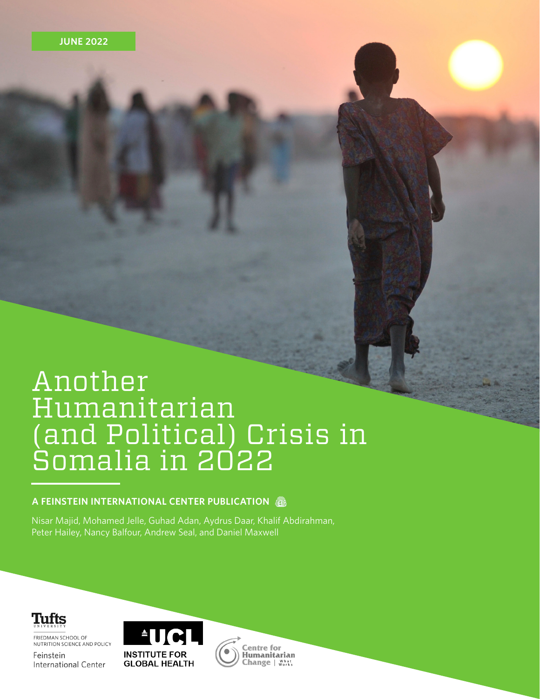### Another Humanitarian (and Political) Crisis in Somalia in 2022

#### **A FEINSTEIN INTERNATIONAL CENTER PUBLICATION**

Nisar Majid, Mohamed Jelle, Guhad Adan, Aydrus Daar, Khalif Abdirahman, Peter Hailey, Nancy Balfour, Andrew Seal, and Daniel Maxwell

Tufts

FRIEDMAN SCHOOL OF NUTRITION SCIENCE AND POLICY

Feinstein International Center



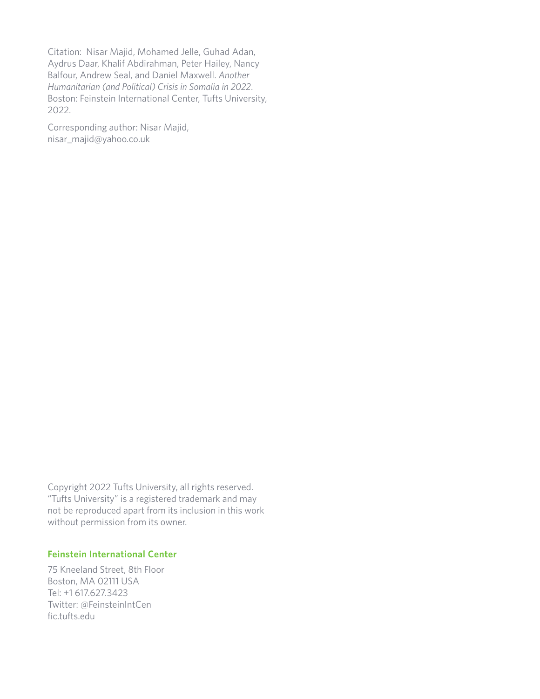Citation: Nisar Majid, Mohamed Jelle, Guhad Adan, Aydrus Daar, Khalif Abdirahman, Peter Hailey, Nancy Balfour, Andrew Seal, and Daniel Maxwell. *Another Humanitarian (and Political) Crisis in Somalia in 2022*. Boston: Feinstein International Center, Tufts University, 2022.

Corresponding author: Nisar Majid, nisar\_majid@yahoo.co.uk

Copyright 2022 Tufts University, all rights reserved. "Tufts University" is a registered trademark and may not be reproduced apart from its inclusion in this work without permission from its owner.

#### **Feinstein International Center**

75 Kneeland Street, 8th Floor Boston, MA 02111 USA Tel: +1 617.627.3423 Twitter: @FeinsteinIntCen fic.tufts.edu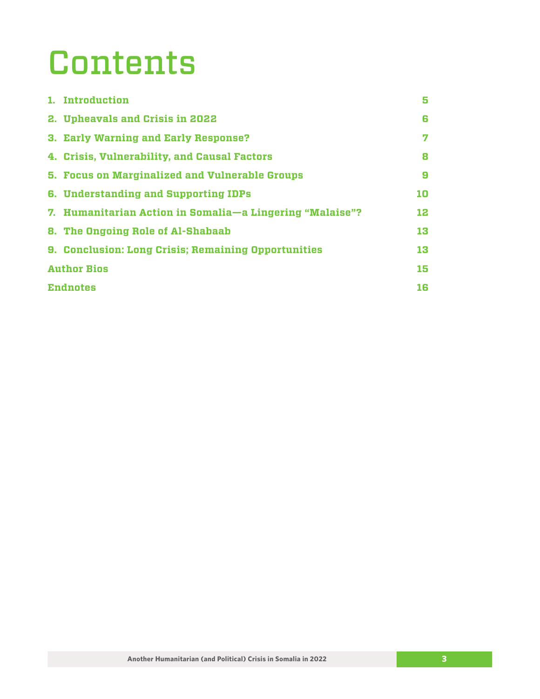### Contents

|                    | 1. Introduction                                            | 5  |
|--------------------|------------------------------------------------------------|----|
|                    | 2. Upheavals and Crisis in 2022                            | 6  |
|                    | 3. Early Warning and Early Response?                       | 7  |
|                    | 4. Crisis, Vulnerability, and Causal Factors               | 8  |
|                    | 5. Focus on Marginalized and Vulnerable Groups             | 9  |
|                    | 6. Understanding and Supporting IDPs                       | 10 |
|                    | 7. Humanitarian Action in Somalia—a Lingering "Malaise"?   | 12 |
|                    | 8. The Ongoing Role of Al-Shabaab                          | 13 |
|                    | <b>9. Conclusion: Long Crisis; Remaining Opportunities</b> | 13 |
| <b>Author Bios</b> |                                                            | 15 |
| <b>Endnotes</b>    |                                                            | 16 |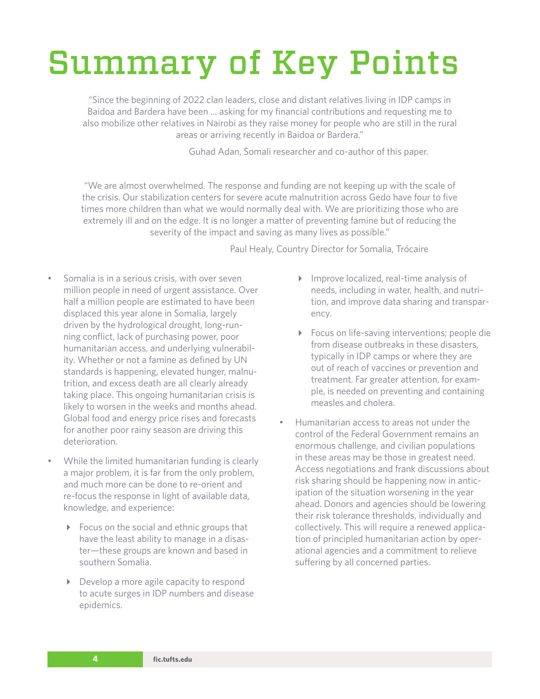### Summary of Key Points

"Since the beginning of 2022 clan leaders, close and distant relatives living in IDP camps in Baidoa and Bardera have been … asking for my financial contributions and requesting me to also mobilize other relatives in Nairobi as they raise money for people who are still in the rural areas or arriving recently in Baidoa or Bardera."

Guhad Adan, Somali researcher and co-author of this paper.

"We are almost overwhelmed. The response and funding are not keeping up with the scale of the crisis. Our stabilization centers for severe acute malnutrition across Gedo have four to five times more children than what we would normally deal with. We are prioritizing those who are extremely ill and on the edge. It is no longer a matter of preventing famine but of reducing the severity of the impact and saving as many lives as possible."

Paul Healy, Country Director for Somalia, Trócaire

- Somalia is in a serious crisis, with over seven million people in need of urgent assistance. Over half a million people are estimated to have been displaced this year alone in Somalia, largely driven by the hydrological drought, long-running conflict, lack of purchasing power, poor humanitarian access, and underlying vulnerability. Whether or not a famine as defined by UN standards is happening, elevated hunger, malnutrition, and excess death are all clearly already taking place. This ongoing humanitarian crisis is likely to worsen in the weeks and months ahead. Global food and energy price rises and forecasts for another poor rainy season are driving this deterioration.
- While the limited humanitarian funding is clearly a major problem, it is far from the only problem, and much more can be done to re-orient and re-focus the response in light of available data, knowledge, and experience:
	- ▶ Focus on the social and ethnic groups that have the least ability to manage in a disaster—these groups are known and based in southern Somalia.
	- Develop a more agile capacity to respond to acute surges in IDP numbers and disease epidemics.
- Improve localized, real-time analysis of needs, including in water, health, and nutrition, and improve data sharing and transparency.
- ▶ Focus on life-saving interventions; people die from disease outbreaks in these disasters, typically in IDP camps or where they are out of reach of vaccines or prevention and treatment. Far greater attention, for example, is needed on preventing and containing measles and cholera.
- Humanitarian access to areas not under the control of the Federal Government remains an enormous challenge, and civilian populations in these areas may be those in greatest need. Access negotiations and frank discussions about risk sharing should be happening now in anticipation of the situation worsening in the year ahead. Donors and agencies should be lowering their risk tolerance thresholds, individually and collectively. This will require a renewed application of principled humanitarian action by operational agencies and a commitment to relieve suffering by all concerned parties.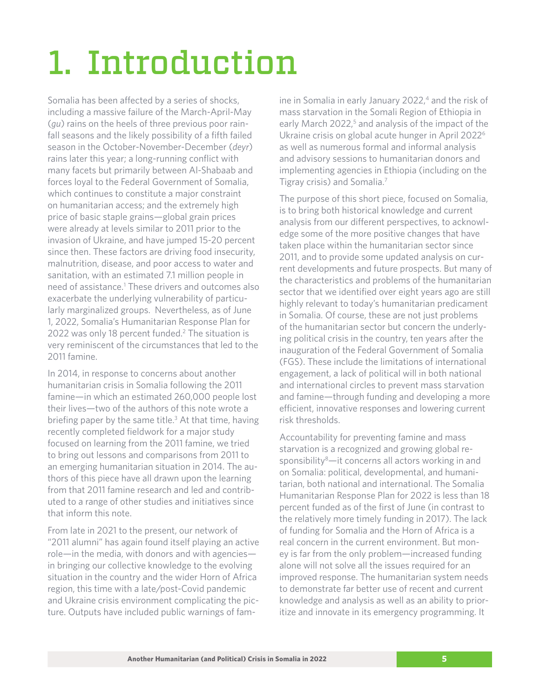# <span id="page-4-0"></span>1. Introduction

Somalia has been affected by a series of shocks, including a massive failure of the March-April-May (*gu*) rains on the heels of three previous poor rainfall seasons and the likely possibility of a fifth failed season in the October-November-December (*deyr*) rains later this year; a long-running conflict with many facets but primarily between Al-Shabaab and forces loyal to the Federal Government of Somalia, which continues to constitute a major constraint on humanitarian access; and the extremely high price of basic staple grains—global grain prices were already at levels similar to 2011 prior to the invasion of Ukraine, and have jumped 15-20 percent since then. These factors are driving food insecurity, malnutrition, disease, and poor access to water and sanitation, with an estimated 7.1 million people in need of assistance.<sup>1</sup> These drivers and outcomes also exacerbate the underlying vulnerability of particularly marginalized groups. Nevertheless, as of June 1, 2022, Somalia's Humanitarian Response Plan for 2022 was only 18 percent funded.<sup>2</sup> The situation is very reminiscent of the circumstances that led to the 2011 famine.

In 2014, in response to concerns about another humanitarian crisis in Somalia following the 2011 famine—in which an estimated 260,000 people lost their lives—two of the authors of this note wrote a briefing paper by the same title.<sup>[3](#page-15-0)</sup> At that time, having recently completed fieldwork for a major study focused on learning from the 2011 famine, we tried to bring out lessons and comparisons from 2011 to an emerging humanitarian situation in 2014. The authors of this piece have all drawn upon the learning from that 2011 famine research and led and contributed to a range of other studies and initiatives since that inform this note.

From late in 2021 to the present, our network of "2011 alumni" has again found itself playing an active role—in the media, with donors and with agencies in bringing our collective knowledge to the evolving situation in the country and the wider Horn of Africa region, this time with a late/post-Covid pandemic and Ukraine crisis environment complicating the picture. Outputs have included public warnings of famine in Somalia in early January  $2022<sup>4</sup>$  and the risk of mass starvation in the Somali Region of Ethiopia in early March 2022,<sup>[5](#page-15-0)</sup> and analysis of the impact of the Ukraine crisis on global acute hunger in April 2022[6](#page-15-0) as well as numerous formal and informal analysis and advisory sessions to humanitarian donors and implementing agencies in Ethiopia (including on the Tigray crisis) and Somalia[.7](#page-15-0)

The purpose of this short piece, focused on Somalia, is to bring both historical knowledge and current analysis from our different perspectives, to acknowledge some of the more positive changes that have taken place within the humanitarian sector since 2011, and to provide some updated analysis on current developments and future prospects. But many of the characteristics and problems of the humanitarian sector that we identified over eight years ago are still highly relevant to today's humanitarian predicament in Somalia. Of course, these are not just problems of the humanitarian sector but concern the underlying political crisis in the country, ten years after the inauguration of the Federal Government of Somalia (FGS). These include the limitations of international engagement, a lack of political will in both national and international circles to prevent mass starvation and famine—through funding and developing a more efficient, innovative responses and lowering current risk thresholds.

Accountability for preventing famine and mass starvation is a recognized and growing global re-sponsibility<sup>[8](#page-15-0)</sup>-it concerns all actors working in and on Somalia: political, developmental, and humanitarian, both national and international. The Somalia Humanitarian Response Plan for 2022 is less than 18 percent funded as of the first of June (in contrast to the relatively more timely funding in 2017). The lack of funding for Somalia and the Horn of Africa is a real concern in the current environment. But money is far from the only problem—increased funding alone will not solve all the issues required for an improved response. The humanitarian system needs to demonstrate far better use of recent and current knowledge and analysis as well as an ability to prioritize and innovate in its emergency programming. It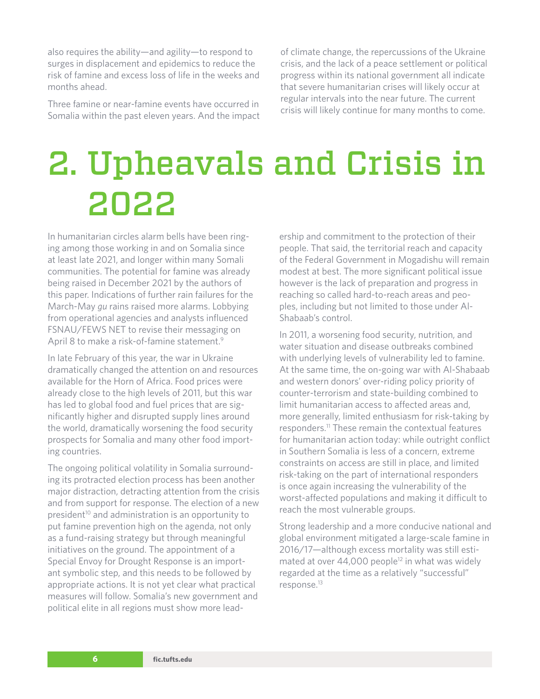<span id="page-5-0"></span>also requires the ability—and agility—to respond to surges in displacement and epidemics to reduce the risk of famine and excess loss of life in the weeks and months ahead.

Three famine or near-famine events have occurred in Somalia within the past eleven years. And the impact

of climate change, the repercussions of the Ukraine crisis, and the lack of a peace settlement or political progress within its national government all indicate that severe humanitarian crises will likely occur at regular intervals into the near future. The current crisis will likely continue for many months to come.

### 2. Upheavals and Crisis in 2022

In humanitarian circles alarm bells have been ringing among those working in and on Somalia since at least late 2021, and longer within many Somali communities. The potential for famine was already being raised in December 2021 by the authors of this paper. Indications of further rain failures for the March-May *gu* rains raised more alarms. Lobbying from operational agencies and analysts influenced FSNAU/FEWS NET to revise their messaging on April 8 to make a risk-of-famine statement.<sup>9</sup>

In late February of this year, the war in Ukraine dramatically changed the attention on and resources available for the Horn of Africa. Food prices were already close to the high levels of 2011, but this war has led to global food and fuel prices that are significantly higher and disrupted supply lines around the world, dramatically worsening the food security prospects for Somalia and many other food importing countries.

The ongoing political volatility in Somalia surrounding its protracted election process has been another major distraction, detracting attention from the crisis and from support for response. The election of a new president<sup>[10](#page-15-0)</sup> and administration is an opportunity to put famine prevention high on the agenda, not only as a fund-raising strategy but through meaningful initiatives on the ground. The appointment of a Special Envoy for Drought Response is an important symbolic step, and this needs to be followed by appropriate actions. It is not yet clear what practical measures will follow. Somalia's new government and political elite in all regions must show more leadership and commitment to the protection of their people. That said, the territorial reach and capacity of the Federal Government in Mogadishu will remain modest at best. The more significant political issue however is the lack of preparation and progress in reaching so called hard-to-reach areas and peoples, including but not limited to those under Al-Shabaab's control.

In 2011, a worsening food security, nutrition, and water situation and disease outbreaks combined with underlying levels of vulnerability led to famine. At the same time, the on-going war with Al-Shabaab and western donors' over-riding policy priority of counter-terrorism and state-building combined to limit humanitarian access to affected areas and, more generally, limited enthusiasm for risk-taking by responders[.11](#page-15-0) These remain the contextual features for humanitarian action today: while outright conflict in Southern Somalia is less of a concern, extreme constraints on access are still in place, and limited risk-taking on the part of international responders is once again increasing the vulnerability of the worst-affected populations and making it difficult to reach the most vulnerable groups.

Strong leadership and a more conducive national and global environment mitigated a large-scale famine in 2016/17—although excess mortality was still estimated at over  $44,000$  people<sup>12</sup> in what was widely regarded at the time as a relatively "successful" response.[13](#page-15-0)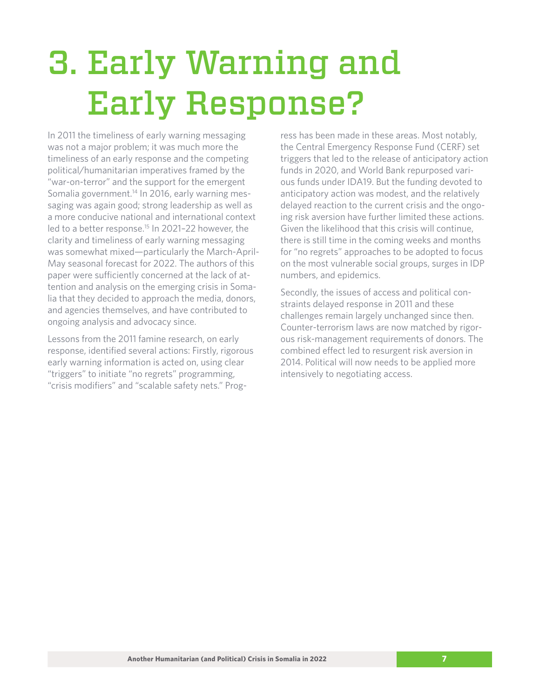# <span id="page-6-0"></span>3. Early Warning and Early Response?

In 2011 the timeliness of early warning messaging was not a major problem; it was much more the timeliness of an early response and the competing political/humanitarian imperatives framed by the "war-on-terror" and the support for the emergent Somalia government.<sup>[14](#page-15-0)</sup> In 2016, early warning messaging was again good; strong leadership as well as a more conducive national and international context led to a better response.<sup>15</sup> In 2021-22 however, the clarity and timeliness of early warning messaging was somewhat mixed—particularly the March-April-May seasonal forecast for 2022. The authors of this paper were sufficiently concerned at the lack of attention and analysis on the emerging crisis in Somalia that they decided to approach the media, donors, and agencies themselves, and have contributed to ongoing analysis and advocacy since.

Lessons from the 2011 famine research, on early response, identified several actions: Firstly, rigorous early warning information is acted on, using clear "triggers" to initiate "no regrets" programming, "crisis modifiers" and "scalable safety nets." Progress has been made in these areas. Most notably, the Central Emergency Response Fund (CERF) set triggers that led to the release of anticipatory action funds in 2020, and World Bank repurposed various funds under IDA19. But the funding devoted to anticipatory action was modest, and the relatively delayed reaction to the current crisis and the ongoing risk aversion have further limited these actions. Given the likelihood that this crisis will continue, there is still time in the coming weeks and months for "no regrets" approaches to be adopted to focus on the most vulnerable social groups, surges in IDP numbers, and epidemics.

Secondly, the issues of access and political constraints delayed response in 2011 and these challenges remain largely unchanged since then. Counter-terrorism laws are now matched by rigorous risk-management requirements of donors. The combined effect led to resurgent risk aversion in 2014. Political will now needs to be applied more intensively to negotiating access.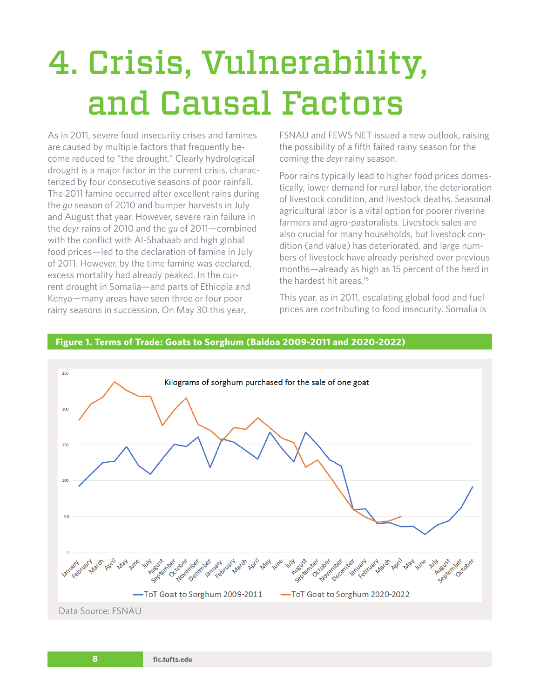# <span id="page-7-0"></span>4. Crisis, Vulnerability, and Causal Factors

As in 2011, severe food insecurity crises and famines are caused by multiple factors that frequently become reduced to "the drought." Clearly hydrological drought is a major factor in the current crisis, characterized by four consecutive seasons of poor rainfall. The 2011 famine occurred after excellent rains during the *gu* season of 2010 and bumper harvests in July and August that year. However, severe rain failure in the *deyr* rains of 2010 and the *gu* of 2011—combined with the conflict with Al-Shabaab and high global food prices—led to the declaration of famine in July of 2011. However, by the time famine was declared, excess mortality had already peaked. In the current drought in Somalia—and parts of Ethiopia and Kenya—many areas have seen three or four poor rainy seasons in succession. On May 30 this year,

FSNAU and FEWS NET issued a new outlook, raising the possibility of a fifth failed rainy season for the coming the *deyr* rainy season.

Poor rains typically lead to higher food prices domestically, lower demand for rural labor, the deterioration of livestock condition, and livestock deaths. Seasonal agricultural labor is a vital option for poorer riverine farmers and agro-pastoralists. Livestock sales are also crucial for many households, but livestock condition (and value) has deteriorated, and large numbers of livestock have already perished over previous months—already as high as 15 percent of the herd in the hardest hit areas[.16](#page-15-0)

This year, as in 2011, escalating global food and fuel prices are contributing to food insecurity. Somalia is



#### **Figure 1. Terms of Trade: Goats to Sorghum (Baidoa 2009-2011 and 2020-2022)**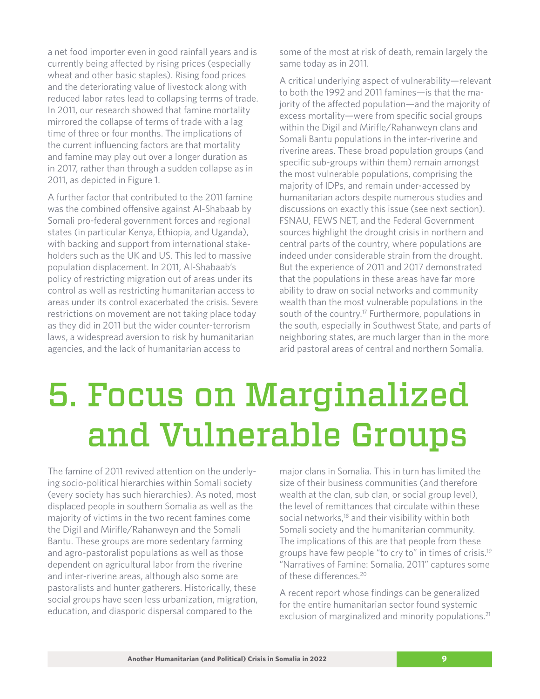<span id="page-8-0"></span>a net food importer even in good rainfall years and is currently being affected by rising prices (especially wheat and other basic staples). Rising food prices and the deteriorating value of livestock along with reduced labor rates lead to collapsing terms of trade. In 2011, our research showed that famine mortality mirrored the collapse of terms of trade with a lag time of three or four months. The implications of the current influencing factors are that mortality and famine may play out over a longer duration as in 2017, rather than through a sudden collapse as in 2011, as depicted in Figure 1.

A further factor that contributed to the 2011 famine was the combined offensive against Al-Shabaab by Somali pro-federal government forces and regional states (in particular Kenya, Ethiopia, and Uganda), with backing and support from international stakeholders such as the UK and US. This led to massive population displacement. In 2011, Al-Shabaab's policy of restricting migration out of areas under its control as well as restricting humanitarian access to areas under its control exacerbated the crisis. Severe restrictions on movement are not taking place today as they did in 2011 but the wider counter-terrorism laws, a widespread aversion to risk by humanitarian agencies, and the lack of humanitarian access to

some of the most at risk of death, remain largely the same today as in 2011.

A critical underlying aspect of vulnerability—relevant to both the 1992 and 2011 famines—is that the majority of the affected population—and the majority of excess mortality—were from specific social groups within the Digil and Mirifle/Rahanweyn clans and Somali Bantu populations in the inter-riverine and riverine areas. These broad population groups (and specific sub-groups within them) remain amongst the most vulnerable populations, comprising the majority of IDPs, and remain under-accessed by humanitarian actors despite numerous studies and discussions on exactly this issue (see next section). FSNAU, FEWS NET, and the Federal Government sources highlight the drought crisis in northern and central parts of the country, where populations are indeed under considerable strain from the drought. But the experience of 2011 and 2017 demonstrated that the populations in these areas have far more ability to draw on social networks and community wealth than the most vulnerable populations in the south of the country.<sup>[17](#page-15-0)</sup> Furthermore, populations in the south, especially in Southwest State, and parts of neighboring states, are much larger than in the more arid pastoral areas of central and northern Somalia.

### 5. Focus on Marginalized and Vulnerable Groups

The famine of 2011 revived attention on the underlying socio-political hierarchies within Somali society (every society has such hierarchies). As noted, most displaced people in southern Somalia as well as the majority of victims in the two recent famines come the Digil and Mirifle/Rahanweyn and the Somali Bantu. These groups are more sedentary farming and agro-pastoralist populations as well as those dependent on agricultural labor from the riverine and inter-riverine areas, although also some are pastoralists and hunter gatherers. Historically, these social groups have seen less urbanization, migration, education, and diasporic dispersal compared to the

major clans in Somalia. This in turn has limited the size of their business communities (and therefore wealth at the clan, sub clan, or social group level), the level of remittances that circulate within these social networks,<sup>18</sup> and their visibility within both Somali society and the humanitarian community. The implications of this are that people from these groups have few people "to cry to" in times of crisis.[19](#page-15-0) "Narratives of Famine: Somalia, 2011" captures some of these differences.<sup>20</sup>

A recent report whose findings can be generalized for the entire humanitarian sector found systemic exclusion of marginalized and minority populations.<sup>[21](#page-16-0)</sup>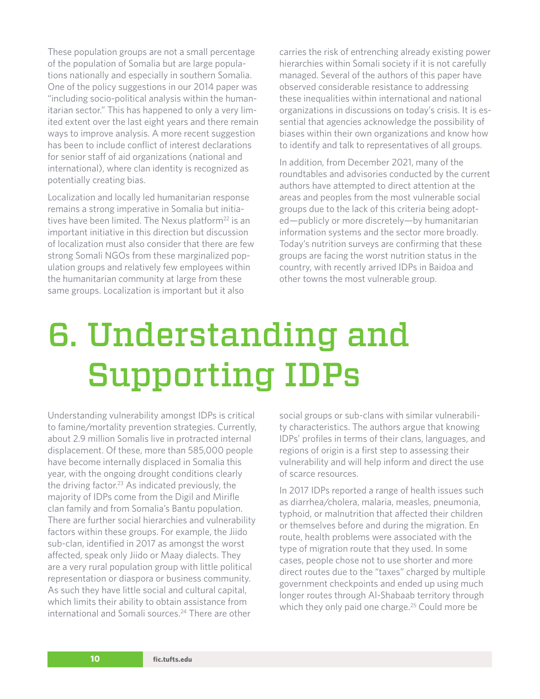<span id="page-9-0"></span>These population groups are not a small percentage of the population of Somalia but are large populations nationally and especially in southern Somalia. One of the policy suggestions in our 2014 paper was "including socio-political analysis within the humanitarian sector." This has happened to only a very limited extent over the last eight years and there remain ways to improve analysis. A more recent suggestion has been to include conflict of interest declarations for senior staff of aid organizations (national and international), where clan identity is recognized as potentially creating bias.

Localization and locally led humanitarian response remains a strong imperative in Somalia but initiatives have been limited. The Nexus platform $^{22}$  is an important initiative in this direction but discussion of localization must also consider that there are few strong Somali NGOs from these marginalized population groups and relatively few employees within the humanitarian community at large from these same groups. Localization is important but it also

carries the risk of entrenching already existing power hierarchies within Somali society if it is not carefully managed. Several of the authors of this paper have observed considerable resistance to addressing these inequalities within international and national organizations in discussions on today's crisis. It is essential that agencies acknowledge the possibility of biases within their own organizations and know how to identify and talk to representatives of all groups.

In addition, from December 2021, many of the roundtables and advisories conducted by the current authors have attempted to direct attention at the areas and peoples from the most vulnerable social groups due to the lack of this criteria being adopted—publicly or more discretely—by humanitarian information systems and the sector more broadly. Today's nutrition surveys are confirming that these groups are facing the worst nutrition status in the country, with recently arrived IDPs in Baidoa and other towns the most vulnerable group.

# 6. Understanding and Supporting IDPs

Understanding vulnerability amongst IDPs is critical to famine/mortality prevention strategies. Currently, about 2.9 million Somalis live in protracted internal displacement. Of these, more than 585,000 people have become internally displaced in Somalia this year, with the ongoing drought conditions clearly the driving factor.<sup>23</sup> As indicated previously, the majority of IDPs come from the Digil and Mirifle clan family and from Somalia's Bantu population. There are further social hierarchies and vulnerability factors within these groups. For example, the Jiido sub-clan, identified in 2017 as amongst the worst affected, speak only Jiido or Maay dialects. They are a very rural population group with little political representation or diaspora or business community. As such they have little social and cultural capital, which limits their ability to obtain assistance from international and Somali sources.[24](#page-16-0) There are other

social groups or sub-clans with similar vulnerability characteristics. The authors argue that knowing IDPs' profiles in terms of their clans, languages, and regions of origin is a first step to assessing their vulnerability and will help inform and direct the use of scarce resources.

In 2017 IDPs reported a range of health issues such as diarrhea/cholera, malaria, measles, pneumonia, typhoid, or malnutrition that affected their children or themselves before and during the migration. En route, health problems were associated with the type of migration route that they used. In some cases, people chose not to use shorter and more direct routes due to the "taxes" charged by multiple government checkpoints and ended up using much longer routes through Al-Shabaab territory through which they only paid one charge.<sup>25</sup> Could more be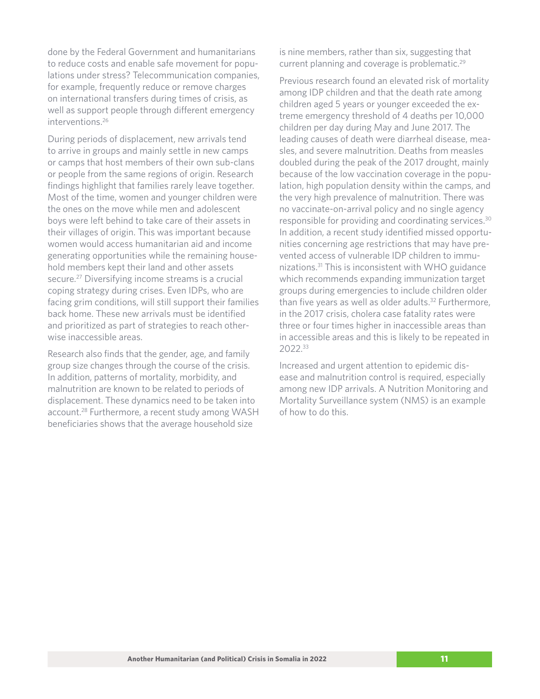<span id="page-10-0"></span>done by the Federal Government and humanitarians to reduce costs and enable safe movement for populations under stress? Telecommunication companies, for example, frequently reduce or remove charges on international transfers during times of crisis, as well as support people through different emergency interventions[.26](#page-16-0)

During periods of displacement, new arrivals tend to arrive in groups and mainly settle in new camps or camps that host members of their own sub-clans or people from the same regions of origin. Research findings highlight that families rarely leave together. Most of the time, women and younger children were the ones on the move while men and adolescent boys were left behind to take care of their assets in their villages of origin. This was important because women would access humanitarian aid and income generating opportunities while the remaining household members kept their land and other assets secure[.27](#page-16-0) Diversifying income streams is a crucial coping strategy during crises. Even IDPs, who are facing grim conditions, will still support their families back home. These new arrivals must be identified and prioritized as part of strategies to reach otherwise inaccessible areas.

Research also finds that the gender, age, and family group size changes through the course of the crisis. In addition, patterns of mortality, morbidity, and malnutrition are known to be related to periods of displacement. These dynamics need to be taken into account[.28](#page-16-0) Furthermore, a recent study among WASH beneficiaries shows that the average household size

is nine members, rather than six, suggesting that current planning and coverage is problematic[.29](#page-16-0)

Previous research found an elevated risk of mortality among IDP children and that the death rate among children aged 5 years or younger exceeded the extreme emergency threshold of 4 deaths per 10,000 children per day during May and June 2017. The leading causes of death were diarrheal disease, measles, and severe malnutrition. Deaths from measles doubled during the peak of the 2017 drought, mainly because of the low vaccination coverage in the population, high population density within the camps, and the very high prevalence of malnutrition. There was no vaccinate-on-arrival policy and no single agency responsible for providing and coordinating services[.30](#page-16-0) In addition, a recent study identified missed opportunities concerning age restrictions that may have prevented access of vulnerable IDP children to immunizations[.31](#page-16-0) This is inconsistent with WHO guidance which recommends expanding immunization target groups during emergencies to include children older than five years as well as older adults.<sup>32</sup> Furthermore, in the 2017 crisis, cholera case fatality rates were three or four times higher in inaccessible areas than in accessible areas and this is likely to be repeated in 2022[.33](#page-16-0)

Increased and urgent attention to epidemic disease and malnutrition control is required, especially among new IDP arrivals. A Nutrition Monitoring and Mortality Surveillance system (NMS) is an example of how to do this.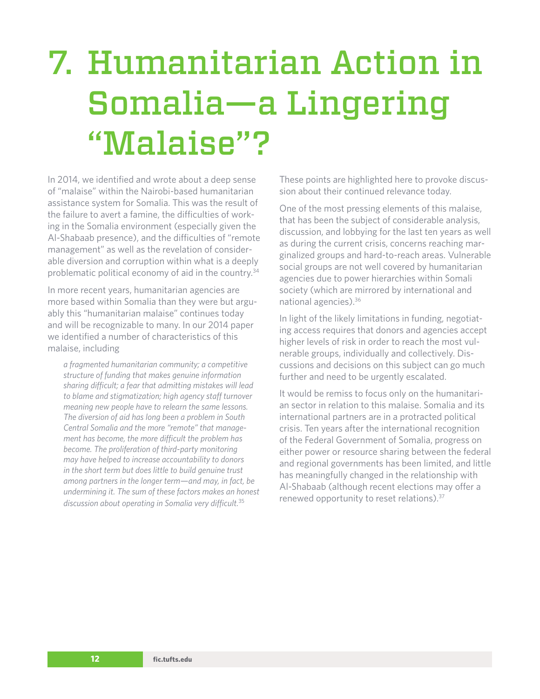# <span id="page-11-0"></span>7. Humanitarian Action in Somalia—a Lingering "Malaise"?

In 2014, we identified and wrote about a deep sense of "malaise" within the Nairobi-based humanitarian assistance system for Somalia. This was the result of the failure to avert a famine, the difficulties of working in the Somalia environment (especially given the Al-Shabaab presence), and the difficulties of "remote management" as well as the revelation of considerable diversion and corruption within what is a deeply problematic political economy of aid in the country.[34](#page-16-0)

In more recent years, humanitarian agencies are more based within Somalia than they were but arguably this "humanitarian malaise" continues today and will be recognizable to many. In our 2014 paper we identified a number of characteristics of this malaise, including

*a fragmented humanitarian community; a competitive structure of funding that makes genuine information sharing difficult; a fear that admitting mistakes will lead to blame and stigmatization; high agency staff turnover meaning new people have to relearn the same lessons. The diversion of aid has long been a problem in South Central Somalia and the more "remote" that management has become, the more difficult the problem has become. The proliferation of third-party monitoring may have helped to increase accountability to donors in the short term but does little to build genuine trust among partners in the longer term—and may, in fact, be undermining it. The sum of these factors makes an honest discussion about operating in Somalia very difficult.*[35](#page-16-0)

These points are highlighted here to provoke discussion about their continued relevance today.

One of the most pressing elements of this malaise, that has been the subject of considerable analysis, discussion, and lobbying for the last ten years as well as during the current crisis, concerns reaching marginalized groups and hard-to-reach areas. Vulnerable social groups are not well covered by humanitarian agencies due to power hierarchies within Somali society (which are mirrored by international and national agencies)[.36](#page-16-0)

In light of the likely limitations in funding, negotiating access requires that donors and agencies accept higher levels of risk in order to reach the most vulnerable groups, individually and collectively. Discussions and decisions on this subject can go much further and need to be urgently escalated.

It would be remiss to focus only on the humanitarian sector in relation to this malaise. Somalia and its international partners are in a protracted political crisis. Ten years after the international recognition of the Federal Government of Somalia, progress on either power or resource sharing between the federal and regional governments has been limited, and little has meaningfully changed in the relationship with Al-Shabaab (although recent elections may offer a renewed opportunity to reset relations).[37](#page-16-0)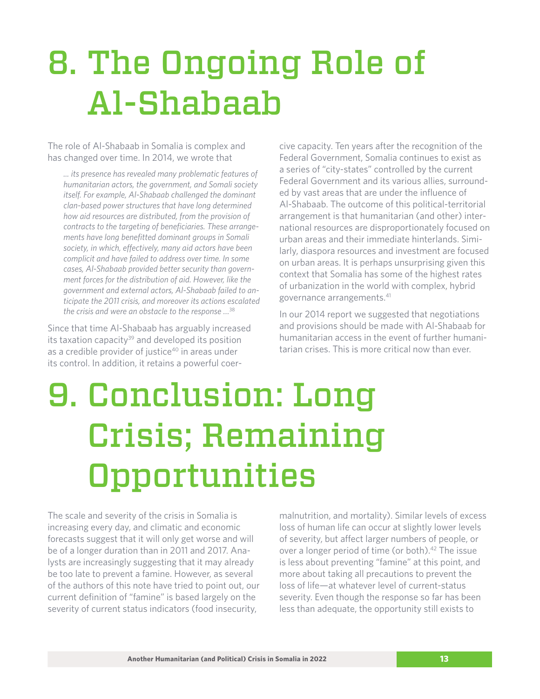# <span id="page-12-0"></span>8. The Ongoing Role of Al-Shabaab

The role of Al-Shabaab in Somalia is complex and has changed over time. In 2014, we wrote that

*... its presence has revealed many problematic features of humanitarian actors, the government, and Somali society itself. For example, Al-Shabaab challenged the dominant clan-based power structures that have long determined how aid resources are distributed, from the provision of contracts to the targeting of beneficiaries. These arrangements have long benefitted dominant groups in Somali society, in which, effectively, many aid actors have been complicit and have failed to address over time. In some cases, Al-Shabaab provided better security than government forces for the distribution of aid. However, like the government and external actors, Al-Shabaab failed to anticipate the 2011 crisis, and moreover its actions escalated the crisis and were an obstacle to the response …*[38](#page-16-0)

Since that time Al-Shabaab has arguably increased its taxation capacity $39$  and developed its position as a credible provider of justice<sup>40</sup> in areas under its control. In addition, it retains a powerful coercive capacity. Ten years after the recognition of the Federal Government, Somalia continues to exist as a series of "city-states" controlled by the current Federal Government and its various allies, surrounded by vast areas that are under the influence of Al-Shabaab. The outcome of this political-territorial arrangement is that humanitarian (and other) international resources are disproportionately focused on urban areas and their immediate hinterlands. Similarly, diaspora resources and investment are focused on urban areas. It is perhaps unsurprising given this context that Somalia has some of the highest rates of urbanization in the world with complex, hybrid governance arrangements.[41](#page-16-0)

In our 2014 report we suggested that negotiations and provisions should be made with Al-Shabaab for humanitarian access in the event of further humanitarian crises. This is more critical now than ever.

# 9. Conclusion: Long Crisis; Remaining Opportunities

The scale and severity of the crisis in Somalia is increasing every day, and climatic and economic forecasts suggest that it will only get worse and will be of a longer duration than in 2011 and 2017. Analysts are increasingly suggesting that it may already be too late to prevent a famine. However, as several of the authors of this note have tried to point out, our current definition of "famine" is based largely on the severity of current status indicators (food insecurity,

malnutrition, and mortality). Similar levels of excess loss of human life can occur at slightly lower levels of severity, but affect larger numbers of people, or over a longer period of time (or both)[.42](#page-16-0) The issue is less about preventing "famine" at this point, and more about taking all precautions to prevent the loss of life—at whatever level of current-status severity. Even though the response so far has been less than adequate, the opportunity still exists to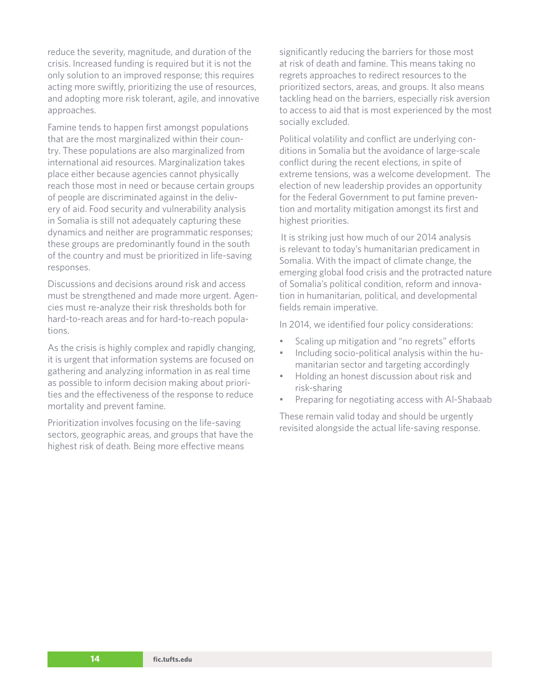reduce the severity, magnitude, and duration of the crisis. Increased funding is required but it is not the only solution to an improved response; this requires acting more swiftly, prioritizing the use of resources, and adopting more risk tolerant, agile, and innovative approaches.

Famine tends to happen first amongst populations that are the most marginalized within their country. These populations are also marginalized from international aid resources. Marginalization takes place either because agencies cannot physically reach those most in need or because certain groups of people are discriminated against in the delivery of aid. Food security and vulnerability analysis in Somalia is still not adequately capturing these dynamics and neither are programmatic responses; these groups are predominantly found in the south of the country and must be prioritized in life-saving responses.

Discussions and decisions around risk and access must be strengthened and made more urgent. Agencies must re-analyze their risk thresholds both for hard-to-reach areas and for hard-to-reach populations.

As the crisis is highly complex and rapidly changing, it is urgent that information systems are focused on gathering and analyzing information in as real time as possible to inform decision making about priorities and the effectiveness of the response to reduce mortality and prevent famine.

Prioritization involves focusing on the life-saving sectors, geographic areas, and groups that have the highest risk of death. Being more effective means

significantly reducing the barriers for those most at risk of death and famine. This means taking no regrets approaches to redirect resources to the prioritized sectors, areas, and groups. It also means tackling head on the barriers, especially risk aversion to access to aid that is most experienced by the most socially excluded.

Political volatility and conflict are underlying conditions in Somalia but the avoidance of large-scale conflict during the recent elections, in spite of extreme tensions, was a welcome development. The election of new leadership provides an opportunity for the Federal Government to put famine prevention and mortality mitigation amongst its first and highest priorities.

It is striking just how much of our 2014 analysis is relevant to today's humanitarian predicament in Somalia. With the impact of climate change, the emerging global food crisis and the protracted nature of Somalia's political condition, reform and innovation in humanitarian, political, and developmental fields remain imperative.

In 2014, we identified four policy considerations:

- Scaling up mitigation and "no regrets" efforts
- Including socio-political analysis within the humanitarian sector and targeting accordingly
- Holding an honest discussion about risk and risk-sharing
- Preparing for negotiating access with Al-Shabaab

These remain valid today and should be urgently revisited alongside the actual life-saving response.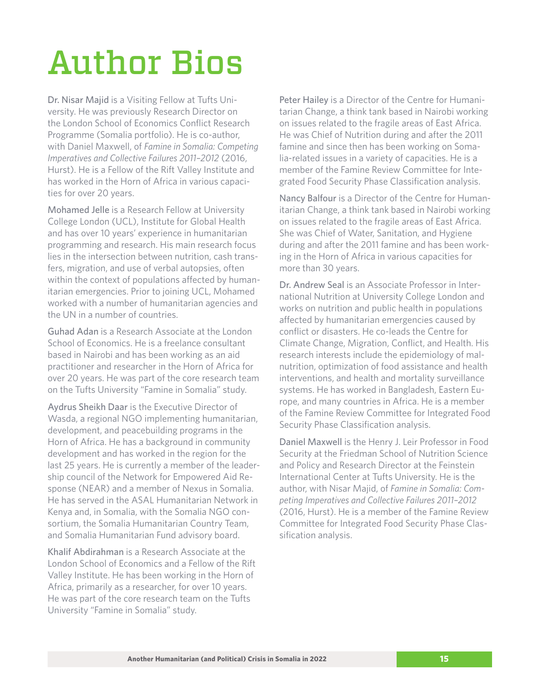### <span id="page-14-0"></span>Author Bios

Dr. Nisar Majid is a Visiting Fellow at Tufts University. He was previously Research Director on the London School of Economics Conflict Research Programme (Somalia portfolio). He is co-author, with Daniel Maxwell, of *Famine in Somalia: Competing Imperatives and Collective Failures 2011–2012* (2016, Hurst). He is a Fellow of the Rift Valley Institute and has worked in the Horn of Africa in various capacities for over 20 years.

Mohamed Jelle is a Research Fellow at University College London (UCL), Institute for Global Health and has over 10 years' experience in humanitarian programming and research. His main research focus lies in the intersection between nutrition, cash transfers, migration, and use of verbal autopsies, often within the context of populations affected by humanitarian emergencies. Prior to joining UCL, Mohamed worked with a number of humanitarian agencies and the UN in a number of countries.

Guhad Adan is a Research Associate at the London School of Economics. He is a freelance consultant based in Nairobi and has been working as an aid practitioner and researcher in the Horn of Africa for over 20 years. He was part of the core research team on the Tufts University "Famine in Somalia" study.

Aydrus Sheikh Daar is the Executive Director of Wasda, a regional NGO implementing humanitarian, development, and peacebuilding programs in the Horn of Africa. He has a background in community development and has worked in the region for the last 25 years. He is currently a member of the leadership council of the Network for Empowered Aid Response (NEAR) and a member of Nexus in Somalia. He has served in the ASAL Humanitarian Network in Kenya and, in Somalia, with the Somalia NGO consortium, the Somalia Humanitarian Country Team, and Somalia Humanitarian Fund advisory board.

Khalif Abdirahman is a Research Associate at the London School of Economics and a Fellow of the Rift Valley Institute. He has been working in the Horn of Africa, primarily as a researcher, for over 10 years. He was part of the core research team on the Tufts University "Famine in Somalia" study.

Peter Hailey is a Director of the Centre for Humanitarian Change, a think tank based in Nairobi working on issues related to the fragile areas of East Africa. He was Chief of Nutrition during and after the 2011 famine and since then has been working on Somalia-related issues in a variety of capacities. He is a member of the Famine Review Committee for Integrated Food Security Phase Classification analysis.

Nancy Balfour is a Director of the Centre for Humanitarian Change, a think tank based in Nairobi working on issues related to the fragile areas of East Africa. She was Chief of Water, Sanitation, and Hygiene during and after the 2011 famine and has been working in the Horn of Africa in various capacities for more than 30 years.

Dr. Andrew Seal is an Associate Professor in International Nutrition at University College London and works on nutrition and public health in populations affected by humanitarian emergencies caused by conflict or disasters. He co-leads the Centre for Climate Change, Migration, Conflict, and Health. His research interests include the epidemiology of malnutrition, optimization of food assistance and health interventions, and health and mortality surveillance systems. He has worked in Bangladesh, Eastern Europe, and many countries in Africa. He is a member of the Famine Review Committee for Integrated Food Security Phase Classification analysis.

Daniel Maxwell is the Henry J. Leir Professor in Food Security at the Friedman School of Nutrition Science and Policy and Research Director at the Feinstein International Center at Tufts University. He is the author, with Nisar Majid, of *Famine in Somalia: Competing Imperatives and Collective Failures 2011–2012* (2016, Hurst). He is a member of the Famine Review Committee for Integrated Food Security Phase Classification analysis.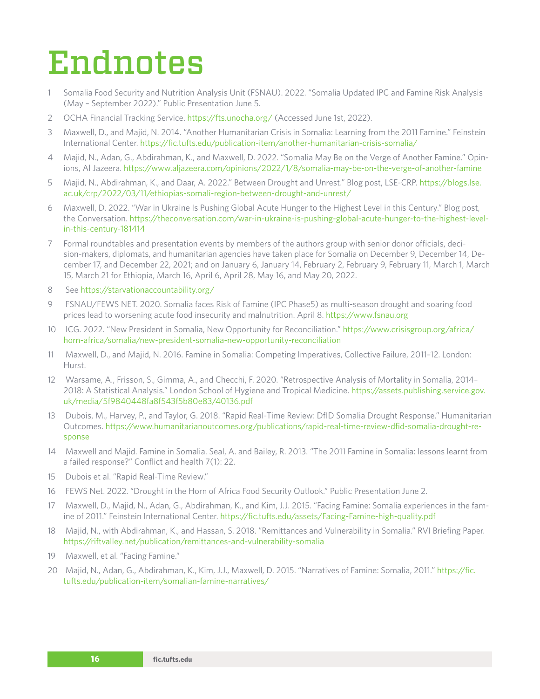### <span id="page-15-0"></span>Endnotes

- [1](#page-4-0) Somalia Food Security and Nutrition Analysis Unit (FSNAU). 2022. "Somalia Updated IPC and Famine Risk Analysis (May – September 2022)." Public Presentation June 5.
- [2](#page-4-0) OCHA Financial Tracking Service.<https://fts.unocha.org/> (Accessed June 1st, 2022).
- [3](#page-4-0) Maxwell, D., and Majid, N. 2014. "Another Humanitarian Crisis in Somalia: Learning from the 2011 Famine." Feinstein International Center. <https://fic.tufts.edu/publication-item/another-humanitarian-crisis-somalia/>
- [4](#page-4-0) Majid, N., Adan, G., Abdirahman, K., and Maxwell, D. 2022. "Somalia May Be on the Verge of Another Famine." Opinions, Al Jazeera.<https://www.aljazeera.com/opinions/2022/1/8/somalia-may-be-on-the-verge-of-another-famine>
- [5](#page-4-0) Majid, N., Abdirahman, K., and Daar, A. 2022." Between Drought and Unrest." Blog post, LSE-CRP. [https://blogs.lse.](https://blogs.lse.ac.uk/crp/2022/03/11/ethiopias-somali-region-between-drought-and-unrest/) [ac.uk/crp/2022/03/11/ethiopias-somali-region-between-drought-and-unrest/](https://blogs.lse.ac.uk/crp/2022/03/11/ethiopias-somali-region-between-drought-and-unrest/)
- [6](#page-4-0) Maxwell, D. 2022. "War in Ukraine Is Pushing Global Acute Hunger to the Highest Level in this Century." Blog post, the Conversation. [https://theconversation.com/war-in-ukraine-is-pushing-global-acute-hunger-to-the-highest-level](https://theconversation.com/war-in-ukraine-is-pushing-global-acute-hunger-to-the-highest-level-in-this-century-181414)[in-this-century-181414](https://theconversation.com/war-in-ukraine-is-pushing-global-acute-hunger-to-the-highest-level-in-this-century-181414)
- [7](#page-4-0) Formal roundtables and presentation events by members of the authors group with senior donor officials, decision-makers, diplomats, and humanitarian agencies have taken place for Somalia on December 9, December 14, December 17, and December 22, 2021; and on January 6, January 14, February 2, February 9, February 11, March 1, March 15, March 21 for Ethiopia, March 16, April 6, April 28, May 16, and May 20, 2022.
- [8](#page-4-0) See<https://starvationaccountability.org/>
- [9](#page-5-0) FSNAU/FEWS NET. 2020. Somalia faces Risk of Famine (IPC Phase5) as multi-season drought and soaring food prices lead to worsening acute food insecurity and malnutrition. April 8. <https://www.fsnau.org>
- [10](#page-5-0) ICG. 2022. "New President in Somalia, New Opportunity for Reconciliation." [https://www.crisisgroup.org/africa/](https://www.crisisgroup.org/africa/horn-africa/somalia/new-president-somalia-new-opportunity-reconciliation) [horn-africa/somalia/new-president-somalia-new-opportunity-reconciliation](https://www.crisisgroup.org/africa/horn-africa/somalia/new-president-somalia-new-opportunity-reconciliation)
- [11](#page-5-0) Maxwell, D., and Majid, N. 2016. Famine in Somalia: Competing Imperatives, Collective Failure, 2011–12. London: Hurst.
- [12](#page-5-0) Warsame, A., Frisson, S., Gimma, A., and Checchi, F. 2020. "Retrospective Analysis of Mortality in Somalia, 2014– 2018: A Statistical Analysis." London School of Hygiene and Tropical Medicine. [https://assets.publishing.service.gov.](https://assets.publishing.service.gov.uk/media/5f9840448fa8f543f5b80e83/40136.pdf) [uk/media/5f9840448fa8f543f5b80e83/40136.pdf](https://assets.publishing.service.gov.uk/media/5f9840448fa8f543f5b80e83/40136.pdf)
- [13](#page-5-0) Dubois, M., Harvey, P., and Taylor, G. 2018. "Rapid Real-Time Review: DfID Somalia Drought Response." Humanitarian Outcomes. [https://www.humanitarianoutcomes.org/publications/rapid-real-time-review-dfid-somalia-drought-re](https://www.humanitarianoutcomes.org/publications/rapid-real-time-review-dfid-somalia-drought-response)[sponse](https://www.humanitarianoutcomes.org/publications/rapid-real-time-review-dfid-somalia-drought-response)
- [14](#page-6-0) Maxwell and Majid. Famine in Somalia. Seal, A. and Bailey, R. 2013. "The 2011 Famine in Somalia: lessons learnt from a failed response?" Conflict and health 7(1): 22.
- [15](#page-6-0) Dubois et al. "Rapid Real-Time Review."
- [16](#page-7-0) FEWS Net. 2022. "Drought in the Horn of Africa Food Security Outlook." Public Presentation June 2.
- [17](#page-8-0) Maxwell, D., Majid, N., Adan, G., Abdirahman, K., and Kim, J.J. 2015. "Facing Famine: Somalia experiences in the famine of 2011." Feinstein International Center. <https://fic.tufts.edu/assets/Facing-Famine-high-quality.pdf>
- [18](#page-8-0) Majid, N., with Abdirahman, K., and Hassan, S. 2018. "Remittances and Vulnerability in Somalia." RVI Briefing Paper. <https://riftvalley.net/publication/remittances-and-vulnerability-somalia>
- [19](#page-8-0) Maxwell, et al. "Facing Famine."
- [20](#page-8-0) Majid, N., Adan, G., Abdirahman, K., Kim, J.J., Maxwell, D. 2015. "Narratives of Famine: Somalia, 2011." [https://fic.](https://fic.tufts.edu/publication-item/somalian-famine-narratives/) [tufts.edu/publication-item/somalian-famine-narratives/](https://fic.tufts.edu/publication-item/somalian-famine-narratives/)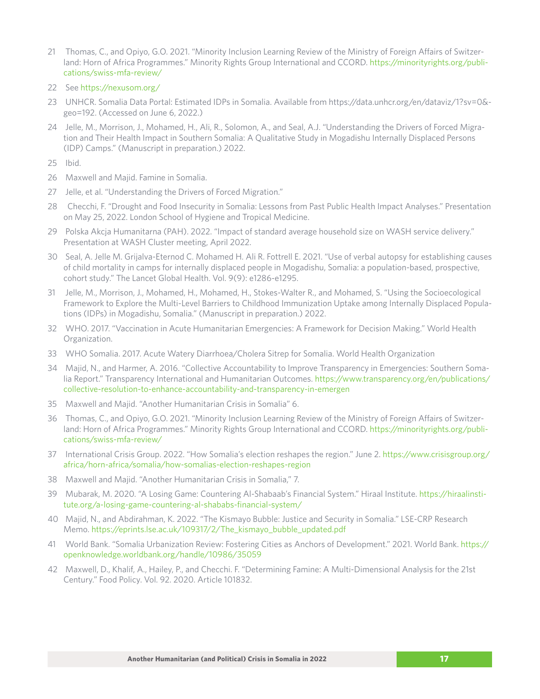- <span id="page-16-0"></span>[21](#page-8-0) Thomas, C., and Opiyo, G.O. 2021. "Minority Inclusion Learning Review of the Ministry of Foreign Affairs of Switzerland: Horn of Africa Programmes." Minority Rights Group International and CCORD. [https://minorityrights.org/publi](https://minorityrights.org/publications/swiss-mfa-review/)[cations/swiss-mfa-review/](https://minorityrights.org/publications/swiss-mfa-review/)
- [22](#page-9-0) See<https://nexusom.org/>
- [23](#page-9-0) UNHCR. Somalia Data Portal: Estimated IDPs in Somalia. Available from https://data.unhcr.org/en/dataviz/1?sv=0& geo=192. (Accessed on June 6, 2022.)
- [24](#page-9-0) Jelle, M., Morrison, J., Mohamed, H., Ali, R., Solomon, A., and Seal, A.J. "Understanding the Drivers of Forced Migration and Their Health Impact in Southern Somalia: A Qualitative Study in Mogadishu Internally Displaced Persons (IDP) Camps." (Manuscript in preparation.) 2022.
- [25](#page-9-0) Ibid.
- [26](#page-10-0) Maxwell and Majid. Famine in Somalia.
- [27](#page-10-0) Jelle, et al. "Understanding the Drivers of Forced Migration."
- [28](#page-10-0) Checchi, F. "Drought and Food Insecurity in Somalia: Lessons from Past Public Health Impact Analyses." Presentation on May 25, 2022. London School of Hygiene and Tropical Medicine.
- [29](#page-10-0) Polska Akcja Humanitarna (PAH). 2022. "Impact of standard average household size on WASH service delivery." Presentation at WASH Cluster meeting, April 2022.
- [30](#page-10-0) Seal, A. Jelle M. Grijalva-Eternod C. Mohamed H. Ali R. Fottrell E. 2021. "Use of verbal autopsy for establishing causes of child mortality in camps for internally displaced people in Mogadishu, Somalia: a population-based, prospective, cohort study." The Lancet Global Health. Vol. 9(9): e1286-e1295.
- [31](#page-10-0) Jelle, M., Morrison, J., Mohamed, H., Mohamed, H., Stokes-Walter R., and Mohamed, S. "Using the Socioecological Framework to Explore the Multi-Level Barriers to Childhood Immunization Uptake among Internally Displaced Populations (IDPs) in Mogadishu, Somalia." (Manuscript in preparation.) 2022.
- [32](#page-10-0) WHO. 2017. "Vaccination in Acute Humanitarian Emergencies: A Framework for Decision Making." World Health Organization.
- [33](#page-10-0) WHO Somalia. 2017. Acute Watery Diarrhoea/Cholera Sitrep for Somalia. World Health Organization
- [34](#page-11-0) Majid, N., and Harmer, A. 2016. "Collective Accountability to Improve Transparency in Emergencies: Southern Somalia Report." Transparency International and Humanitarian Outcomes. [https://www.transparency.org/en/publications/](https://www.transparency.org/en/publications/collective-resolution-to-enhance-accountability-and-transparency-in-emergen) [collective-resolution-to-enhance-accountability-and-transparency-in-emergen](https://www.transparency.org/en/publications/collective-resolution-to-enhance-accountability-and-transparency-in-emergen)
- [35](#page-11-0) Maxwell and Majid. "Another Humanitarian Crisis in Somalia" 6.
- [36](#page-11-0) Thomas, C., and Opiyo, G.O. 2021. "Minority Inclusion Learning Review of the Ministry of Foreign Affairs of Switzerland: Horn of Africa Programmes." Minority Rights Group International and CCORD. [https://minorityrights.org/publi](https://minorityrights.org/publications/swiss-mfa-review/)[cations/swiss-mfa-review/](https://minorityrights.org/publications/swiss-mfa-review/)
- [37](#page-11-0) International Crisis Group. 2022. "How Somalia's election reshapes the region." June 2. [https://www.crisisgroup.org/](https://www.crisisgroup.org/africa/horn-africa/somalia/how-somalias-election-reshapes-region) [africa/horn-africa/somalia/how-somalias-election-reshapes-region](https://www.crisisgroup.org/africa/horn-africa/somalia/how-somalias-election-reshapes-region)
- [38](#page-12-0) Maxwell and Majid. "Another Humanitarian Crisis in Somalia," 7.
- [39](#page-12-0) Mubarak, M. 2020. "A Losing Game: Countering Al-Shabaab's Financial System." Hiraal Institute. [https://hiraalinsti](https://hiraalinstitute.org/a-losing-game-countering-al-shababs-financial-system/)[tute.org/a-losing-game-countering-al-shababs-financial-system/](https://hiraalinstitute.org/a-losing-game-countering-al-shababs-financial-system/)
- [40](#page-12-0) Majid, N., and Abdirahman, K. 2022. "The Kismayo Bubble: Justice and Security in Somalia." LSE-CRP Research Memo. [https://eprints.lse.ac.uk/109317/2/The\\_kismayo\\_bubble\\_updated.pdf](https://eprints.lse.ac.uk/109317/2/The_kismayo_bubble_updated.pdf)
- [41](#page-12-0) World Bank. "Somalia Urbanization Review: Fostering Cities as Anchors of Development." 2021. World Bank. [https://](https://openknowledge.worldbank.org/handle/10986/35059) [openknowledge.worldbank.org/handle/10986/35059](https://openknowledge.worldbank.org/handle/10986/35059)
- [42](#page-12-0) Maxwell, D., Khalif, A., Hailey, P., and Checchi. F. "Determining Famine: A Multi-Dimensional Analysis for the 21st Century." Food Policy. Vol. 92. 2020. Article 101832.